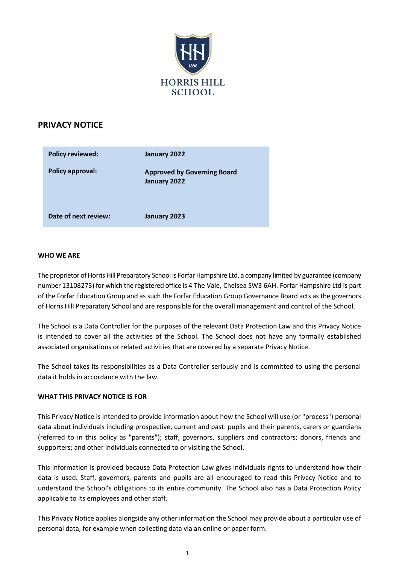

# **PRIVACY NOTICE**

| <b>Policy reviewed:</b> | January 2022                                       |
|-------------------------|----------------------------------------------------|
| <b>Policy approval:</b> | <b>Approved by Governing Board</b><br>January 2022 |
| Date of next review:    | January 2023                                       |

## **WHO WE ARE**

The proprietor of Horris Hill Preparatory School is Forfar Hampshire Ltd, a company limited by guarantee (company number 13108273) for which the registered office is 4 The Vale, Chelsea SW3 6AH. Forfar Hampshire Ltd is part of the Forfar Education Group and as such the Forfar Education Group Governance Board acts as the governors of Horris Hill Preparatory School and are responsible for the overall management and control of the School.

The School is a Data Controller for the purposes of the relevant Data Protection Law and this Privacy Notice is intended to cover all the activities of the School. The School does not have any formally established associated organisations or related activities that are covered by a separate Privacy Notice.

The School takes its responsibilities as a Data Controller seriously and is committed to using the personal data it holds in accordance with the law.

#### **WHAT THIS PRIVACY NOTICE IS FOR**

This Privacy Notice is intended to provide information about how the School will use (or "process") personal data about individuals including prospective, current and past: pupils and their parents, carers or guardians (referred to in this policy as "parents"); staff, governors, suppliers and contractors; donors, friends and supporters; and other individuals connected to or visiting the School.

This information is provided because Data Protection Law gives individuals rights to understand how their data is used. Staff, governors, parents and pupils are all encouraged to read this Privacy Notice and to understand the School's obligations to its entire community. The School also has a Data Protection Policy applicable to its employees and other staff.

This Privacy Notice applies alongside any other information the School may provide about a particular use of personal data, for example when collecting data via an online or paper form.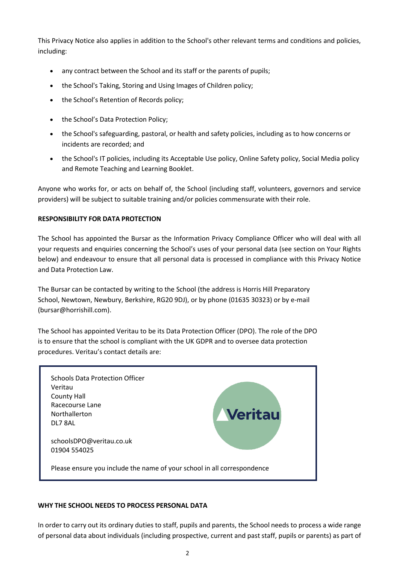This Privacy Notice also applies in addition to the School's other relevant terms and conditions and policies, including:

- any contract between the School and its staff or the parents of pupils;
- the School's Taking, Storing and Using Images of Children policy;
- the School's Retention of Records policy;
- the School's Data Protection Policy;
- the School's safeguarding, pastoral, or health and safety policies, including as to how concerns or incidents are recorded; and
- the School's IT policies, including its Acceptable Use policy, Online Safety policy, Social Media policy and Remote Teaching and Learning Booklet.

Anyone who works for, or acts on behalf of, the School (including staff, volunteers, governors and service providers) will be subject to suitable training and/or policies commensurate with their role.

# **RESPONSIBILITY FOR DATA PROTECTION**

The School has appointed the Bursar as the Information Privacy Compliance Officer who will deal with all your requests and enquiries concerning the School's uses of your personal data (see section on Your Rights below) and endeavour to ensure that all personal data is processed in compliance with this Privacy Notice and Data Protection Law.

The Bursar can be contacted by writing to the School (the address is Horris Hill Preparatory School, Newtown, Newbury, Berkshire, RG20 9DJ), or by phone (01635 30323) or by e-mail [\(bursar@horrishill.com\)](mailto:bursar@horrishill.com).

The School has appointed Veritau to be its Data Protection Officer (DPO). The role of the DPO is to ensure that the school is compliant with the UK GDPR and to oversee data protection procedures. Veritau's contact details are:

| <b>Schools Data Protection Officer</b><br>Veritau<br><b>County Hall</b><br>Racecourse Lane<br>Northallerton | <b>Veritau</b> |
|-------------------------------------------------------------------------------------------------------------|----------------|
| DL7 8AL                                                                                                     |                |
| schoolsDPO@veritau.co.uk<br>01904 554025                                                                    |                |
| Please ensure you include the name of your school in all correspondence                                     |                |

#### **WHY THE SCHOOL NEEDS TO PROCESS PERSONAL DATA**

In order to carry out its ordinary duties to staff, pupils and parents, the School needs to process a wide range of personal data about individuals (including prospective, current and past staff, pupils or parents) as part of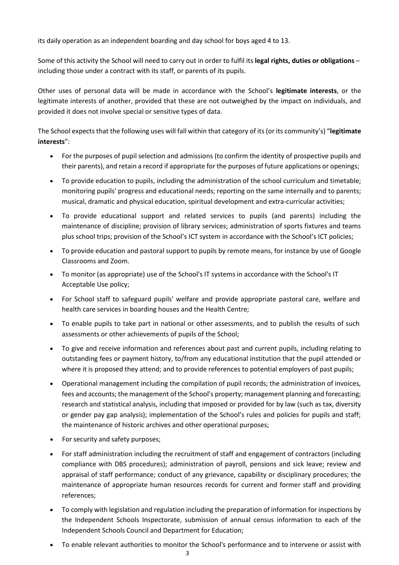its daily operation as an independent boarding and day school for boys aged 4 to 13.

Some of this activity the School will need to carry out in order to fulfil its **legal rights, duties or obligations** – including those under a contract with its staff, or parents of its pupils.

Other uses of personal data will be made in accordance with the School's **legitimate interests**, or the legitimate interests of another, provided that these are not outweighed by the impact on individuals, and provided it does not involve special or sensitive types of data.

The School expects that the following uses will fall within that category of its(or its community's) "**legitimate interests**":

- For the purposes of pupil selection and admissions (to confirm the identity of prospective pupils and their parents), and retain a record if appropriate for the purposes of future applications or openings;
- To provide education to pupils, including the administration of the school curriculum and timetable; monitoring pupils' progress and educational needs; reporting on the same internally and to parents; musical, dramatic and physical education, spiritual development and extra-curricular activities;
- To provide educational support and related services to pupils (and parents) including the maintenance of discipline; provision of library services; administration of sports fixtures and teams plus school trips; provision of the School's ICT system in accordance with the School's ICT policies;
- To provide education and pastoral support to pupils by remote means, for instance by use of Google Classrooms and Zoom.
- To monitor (as appropriate) use of the School's IT systems in accordance with the School's IT Acceptable Use policy;
- For School staff to safeguard pupils' welfare and provide appropriate pastoral care, welfare and health care services in boarding houses and the Health Centre;
- To enable pupils to take part in national or other assessments, and to publish the results of such assessments or other achievements of pupils of the School;
- To give and receive information and references about past and current pupils, including relating to outstanding fees or payment history, to/from any educational institution that the pupil attended or where it is proposed they attend; and to provide references to potential employers of past pupils;
- Operational management including the compilation of pupil records; the administration of invoices, fees and accounts; the management of the School's property; management planning and forecasting; research and statistical analysis, including that imposed or provided for by law (such as tax, diversity or gender pay gap analysis); implementation of the School's rules and policies for pupils and staff; the maintenance of historic archives and other operational purposes;
- For security and safety purposes;
- For staff administration including the recruitment of staff and engagement of contractors (including compliance with DBS procedures); administration of payroll, pensions and sick leave; review and appraisal of staff performance; conduct of any grievance, capability or disciplinary procedures; the maintenance of appropriate human resources records for current and former staff and providing references;
- To comply with legislation and regulation including the preparation of information for inspections by the Independent Schools Inspectorate, submission of annual census information to each of the Independent Schools Council and Department for Education;
- To enable relevant authorities to monitor the School's performance and to intervene or assist with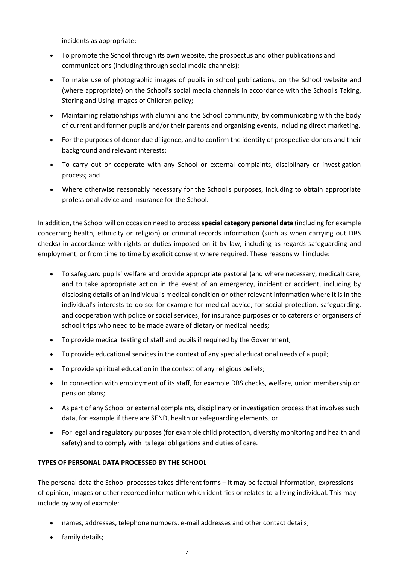incidents as appropriate;

- To promote the School through its own website, the prospectus and other publications and communications (including through social media channels);
- To make use of photographic images of pupils in school publications, on the School website and (where appropriate) on the School's social media channels in accordance with the School's Taking, Storing and Using Images of Children policy;
- Maintaining relationships with alumni and the School community, by communicating with the body of current and former pupils and/or their parents and organising events, including direct marketing.
- For the purposes of donor due diligence, and to confirm the identity of prospective donors and their background and relevant interests;
- To carry out or cooperate with any School or external complaints, disciplinary or investigation process; and
- Where otherwise reasonably necessary for the School's purposes, including to obtain appropriate professional advice and insurance for the School.

In addition, the School will on occasion need to process**special category personal data** (including for example concerning health, ethnicity or religion) or criminal records information (such as when carrying out DBS checks) in accordance with rights or duties imposed on it by law, including as regards safeguarding and employment, or from time to time by explicit consent where required. These reasons will include:

- To safeguard pupils' welfare and provide appropriate pastoral (and where necessary, medical) care, and to take appropriate action in the event of an emergency, incident or accident, including by disclosing details of an individual's medical condition or other relevant information where it is in the individual's interests to do so: for example for medical advice, for social protection, safeguarding, and cooperation with police or social services, for insurance purposes or to caterers or organisers of school trips who need to be made aware of dietary or medical needs;
- To provide medical testing of staff and pupils if required by the Government;
- To provide educational services in the context of any special educational needs of a pupil;
- To provide spiritual education in the context of any religious beliefs;
- In connection with employment of its staff, for example DBS checks, welfare, union membership or pension plans;
- As part of any School or external complaints, disciplinary or investigation process that involves such data, for example if there are SEND, health or safeguarding elements; or
- For legal and regulatory purposes (for example child protection, diversity monitoring and health and safety) and to comply with its legal obligations and duties of care.

# **TYPES OF PERSONAL DATA PROCESSED BY THE SCHOOL**

The personal data the School processes takes different forms – it may be factual information, expressions of opinion, images or other recorded information which identifies or relates to a living individual. This may include by way of example:

- names, addresses, telephone numbers, e-mail addresses and other contact details;
- family details;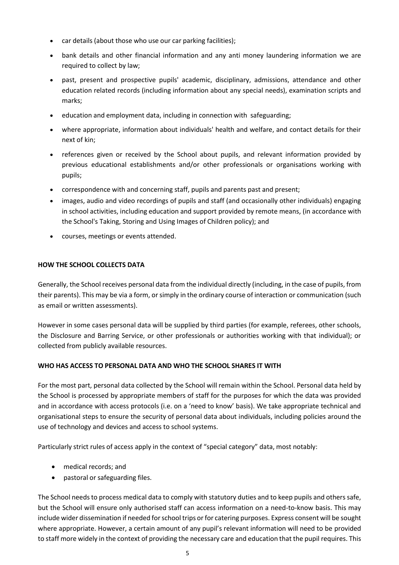- car details (about those who use our car parking facilities);
- bank details and other financial information and any anti money laundering information we are required to collect by law;
- past, present and prospective pupils' academic, disciplinary, admissions, attendance and other education related records (including information about any special needs), examination scripts and marks;
- education and employment data, including in connection with safeguarding;
- where appropriate, information about individuals' health and welfare, and contact details for their next of kin;
- references given or received by the School about pupils, and relevant information provided by previous educational establishments and/or other professionals or organisations working with pupils;
- correspondence with and concerning staff, pupils and parents past and present;
- images, audio and video recordings of pupils and staff (and occasionally other individuals) engaging in school activities, including education and support provided by remote means, (in accordance with the School's Taking, Storing and Using Images of Children policy); and
- courses, meetings or events attended.

## **HOW THE SCHOOL COLLECTS DATA**

Generally, the School receives personal data from the individual directly (including, in the case of pupils, from their parents). This may be via a form, orsimply in the ordinary course of interaction or communication (such as email or written assessments).

However in some cases personal data will be supplied by third parties (for example, referees, other schools, the Disclosure and Barring Service, or other professionals or authorities working with that individual); or collected from publicly available resources.

# **WHO HAS ACCESS TO PERSONAL DATA AND WHO THE SCHOOL SHARES IT WITH**

For the most part, personal data collected by the School will remain within the School. Personal data held by the School is processed by appropriate members of staff for the purposes for which the data was provided and in accordance with access protocols (i.e. on a 'need to know' basis). We take appropriate technical and organisational steps to ensure the security of personal data about individuals, including policies around the use of technology and devices and access to school systems.

Particularly strict rules of access apply in the context of "special category" data, most notably:

- medical records; and
- pastoral or safeguarding files.

The School needs to process medical data to comply with statutory duties and to keep pupils and others safe, but the School will ensure only authorised staff can access information on a need-to-know basis. This may include wider dissemination if needed for school trips or for catering purposes. Express consent will be sought where appropriate. However, a certain amount of any pupil's relevant information will need to be provided to staff more widely in the context of providing the necessary care and education that the pupil requires. This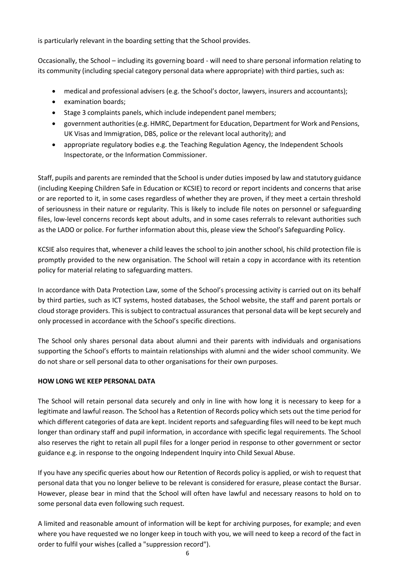is particularly relevant in the boarding setting that the School provides.

Occasionally, the School – including its governing board - will need to share personal information relating to its community (including special category personal data where appropriate) with third parties, such as:

- medical and professional advisers (e.g. the School's doctor, lawyers, insurers and accountants);
- examination boards;
- Stage 3 complaints panels, which include independent panel members;
- government authorities(e.g. HMRC, Department for Education, Department for Work and Pensions, UK Visas and Immigration, DBS, police or the relevant local authority); and
- appropriate regulatory bodies e.g. the Teaching Regulation Agency, the Independent Schools Inspectorate, or the Information Commissioner.

Staff, pupils and parents are reminded that the School is under duties imposed by law and statutory guidance (including Keeping Children Safe in Education or KCSIE) to record or report incidents and concerns that arise or are reported to it, in some cases regardless of whether they are proven, if they meet a certain threshold of seriousness in their nature or regularity. This is likely to include file notes on personnel or safeguarding files, low-level concerns records kept about adults, and in some cases referrals to relevant authorities such as the LADO or police. For further information about this, please view the School's Safeguarding Policy.

KCSIE also requires that, whenever a child leaves the school to join another school, his child protection file is promptly provided to the new organisation. The School will retain a copy in accordance with its retention policy for material relating to safeguarding matters.

In accordance with Data Protection Law, some of the School's processing activity is carried out on its behalf by third parties, such as ICT systems, hosted databases, the School website, the staff and parent portals or cloud storage providers. This is subject to contractual assurances that personal data will be kept securely and only processed in accordance with the School's specific directions.

The School only shares personal data about alumni and their parents with individuals and organisations supporting the School's efforts to maintain relationships with alumni and the wider school community. We do not share or sell personal data to other organisations for their own purposes.

# **HOW LONG WE KEEP PERSONAL DATA**

The School will retain personal data securely and only in line with how long it is necessary to keep for a legitimate and lawful reason. The School has a Retention of Records policy which sets out the time period for which different categories of data are kept. Incident reports and safeguarding files will need to be kept much longer than ordinary staff and pupil information, in accordance with specific legal requirements. The School also reserves the right to retain all pupil files for a longer period in response to other government or sector guidance e.g. in response to the ongoing Independent Inquiry into Child Sexual Abuse.

If you have any specific queries about how our Retention of Records policy is applied, or wish to request that personal data that you no longer believe to be relevant is considered for erasure, please contact the Bursar. However, please bear in mind that the School will often have lawful and necessary reasons to hold on to some personal data even following such request.

A limited and reasonable amount of information will be kept for archiving purposes, for example; and even where you have requested we no longer keep in touch with you, we will need to keep a record of the fact in order to fulfil your wishes (called a "suppression record").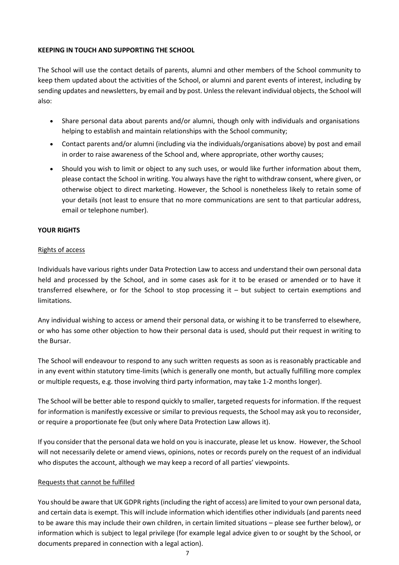## **KEEPING IN TOUCH AND SUPPORTING THE SCHOOL**

The School will use the contact details of parents, alumni and other members of the School community to keep them updated about the activities of the School, or alumni and parent events of interest, including by sending updates and newsletters, by email and by post. Unless the relevant individual objects, the School will also:

- Share personal data about parents and/or alumni, though only with individuals and organisations helping to establish and maintain relationships with the School community;
- Contact parents and/or alumni (including via the individuals/organisations above) by post and email in order to raise awareness of the School and, where appropriate, other worthy causes;
- Should you wish to limit or object to any such uses, or would like further information about them, please contact the School in writing. You always have the right to withdraw consent, where given, or otherwise object to direct marketing. However, the School is nonetheless likely to retain some of your details (not least to ensure that no more communications are sent to that particular address, email or telephone number).

## **YOUR RIGHTS**

## Rights of access

Individuals have various rights under Data Protection Law to access and understand their own personal data held and processed by the School, and in some cases ask for it to be erased or amended or to have it transferred elsewhere, or for the School to stop processing it – but subject to certain exemptions and limitations.

Any individual wishing to access or amend their personal data, or wishing it to be transferred to elsewhere, or who has some other objection to how their personal data is used, should put their request in writing to the Bursar.

The School will endeavour to respond to any such written requests as soon as is reasonably practicable and in any event within statutory time-limits (which is generally one month, but actually fulfilling more complex or multiple requests, e.g. those involving third party information, may take 1-2 months longer).

The School will be better able to respond quickly to smaller, targeted requests for information. If the request for information is manifestly excessive or similar to previous requests, the School may ask you to reconsider, or require a proportionate fee (but only where Data Protection Law allows it).

If you consider that the personal data we hold on you is inaccurate, please let us know. However, the School will not necessarily delete or amend views, opinions, notes or records purely on the request of an individual who disputes the account, although we may keep a record of all parties' viewpoints.

#### Requests that cannot be fulfilled

You should be aware that UK GDPR rights (including the right of access) are limited to your own personal data, and certain data is exempt. This will include information which identifies other individuals (and parents need to be aware this may include their own children, in certain limited situations – please see further below), or information which is subject to legal privilege (for example legal advice given to or sought by the School, or documents prepared in connection with a legal action).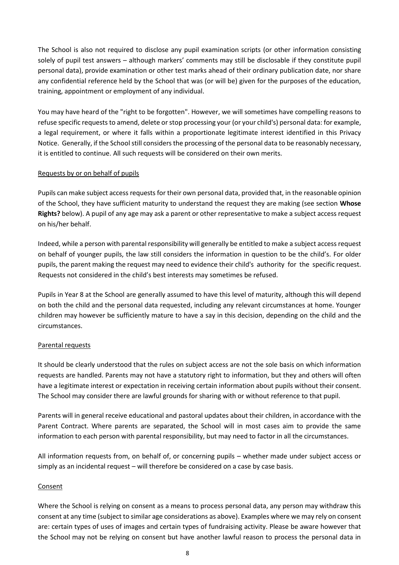The School is also not required to disclose any pupil examination scripts (or other information consisting solely of pupil test answers – although markers' comments may still be disclosable if they constitute pupil personal data), provide examination or other test marks ahead of their ordinary publication date, nor share any confidential reference held by the School that was (or will be) given for the purposes of the education, training, appointment or employment of any individual.

You may have heard of the "right to be forgotten". However, we will sometimes have compelling reasons to refuse specific requests to amend, delete or stop processing your (or your child's) personal data: for example, a legal requirement, or where it falls within a proportionate legitimate interest identified in this Privacy Notice. Generally, if the School still considers the processing of the personal data to be reasonably necessary, it is entitled to continue. All such requests will be considered on their own merits.

# Requests by or on behalf of pupils

Pupils can make subject access requests for their own personal data, provided that, in the reasonable opinion of the School, they have sufficient maturity to understand the request they are making (see section **Whose Rights?** below). A pupil of any age may ask a parent or other representative to make a subject access request on his/her behalf.

Indeed, while a person with parental responsibility will generally be entitled to make a subject accessrequest on behalf of younger pupils, the law still considers the information in question to be the child's. For older pupils, the parent making the request may need to evidence their child's authority for the specific request. Requests not considered in the child's best interests may sometimes be refused.

Pupils in Year 8 at the School are generally assumed to have this level of maturity, although this will depend on both the child and the personal data requested, including any relevant circumstances at home. Younger children may however be sufficiently mature to have a say in this decision, depending on the child and the circumstances.

#### Parental requests

It should be clearly understood that the rules on subject access are not the sole basis on which information requests are handled. Parents may not have a statutory right to information, but they and others will often have a legitimate interest or expectation in receiving certain information about pupils without their consent. The School may consider there are lawful grounds for sharing with or without reference to that pupil.

Parents will in general receive educational and pastoral updates about their children, in accordance with the Parent Contract. Where parents are separated, the School will in most cases aim to provide the same information to each person with parental responsibility, but may need to factor in all the circumstances.

All information requests from, on behalf of, or concerning pupils – whether made under subject access or simply as an incidental request – will therefore be considered on a case by case basis.

#### Consent

Where the School is relying on consent as a means to process personal data, any person may withdraw this consent at any time (subject to similar age considerations as above). Examples where we may rely on consent are: certain types of uses of images and certain types of fundraising activity. Please be aware however that the School may not be relying on consent but have another lawful reason to process the personal data in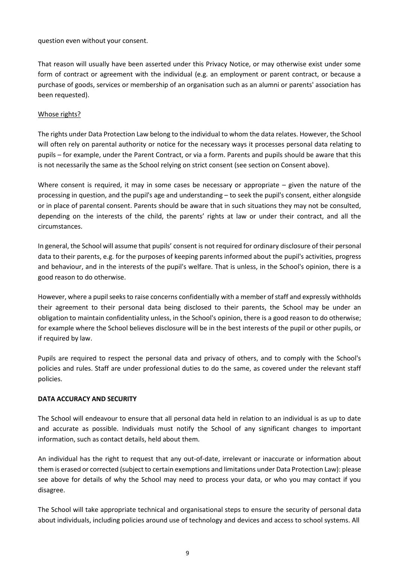question even without your consent.

That reason will usually have been asserted under this Privacy Notice, or may otherwise exist under some form of contract or agreement with the individual (e.g. an employment or parent contract, or because a purchase of goods, services or membership of an organisation such as an alumni or parents' association has been requested).

### Whose rights?

The rights under Data Protection Law belong to the individual to whom the data relates. However, the School will often rely on parental authority or notice for the necessary ways it processes personal data relating to pupils – for example, under the Parent Contract, or via a form. Parents and pupils should be aware that this is not necessarily the same as the School relying on strict consent (see section on Consent above).

Where consent is required, it may in some cases be necessary or appropriate – given the nature of the processing in question, and the pupil's age and understanding – to seek the pupil's consent, either alongside or in place of parental consent. Parents should be aware that in such situations they may not be consulted, depending on the interests of the child, the parents' rights at law or under their contract, and all the circumstances.

In general, the School will assume that pupils' consent is not required for ordinary disclosure of their personal data to their parents, e.g. for the purposes of keeping parents informed about the pupil's activities, progress and behaviour, and in the interests of the pupil's welfare. That is unless, in the School's opinion, there is a good reason to do otherwise.

However, where a pupil seeks to raise concerns confidentially with a member of staff and expressly withholds their agreement to their personal data being disclosed to their parents, the School may be under an obligation to maintain confidentiality unless, in the School's opinion, there is a good reason to do otherwise; for example where the School believes disclosure will be in the best interests of the pupil or other pupils, or if required by law.

Pupils are required to respect the personal data and privacy of others, and to comply with the School's policies and rules. Staff are under professional duties to do the same, as covered under the relevant staff policies.

#### **DATA ACCURACY AND SECURITY**

The School will endeavour to ensure that all personal data held in relation to an individual is as up to date and accurate as possible. Individuals must notify the School of any significant changes to important information, such as contact details, held about them.

An individual has the right to request that any out-of-date, irrelevant or inaccurate or information about them is erased or corrected (subject to certain exemptions and limitations under Data Protection Law): please see above for details of why the School may need to process your data, or who you may contact if you disagree.

The School will take appropriate technical and organisational steps to ensure the security of personal data about individuals, including policies around use of technology and devices and access to school systems. All